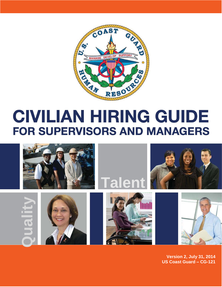

# **CIVILIAN HIRING GUIDE FOR SUPERVISORS AND MANAGERS**



**Version 2, July 31, 2014** US Coast Guard - CG-121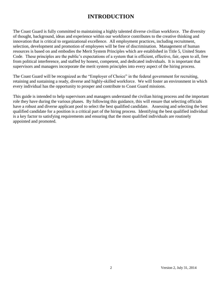# **INTRODUCTION**

The Coast Guard is fully committed to maintaining a highly talented diverse civilian workforce. The diversity of thought, background, ideas and experience within our workforce contributes to the creative thinking and innovation that is critical to organizational excellence. All employment practices, including recruitment, selection, development and promotion of employees will be free of discrimination. Management of human resources is based on and embodies the Merit System Principles which are established in Title 5, United States Code. These principles are the public's expectations of a system that is efficient, effective, fair, open to all, free from political interference, and staffed by honest, competent, and dedicated individuals. It is important that supervisors and managers incorporate the merit system principles into every aspect of the hiring process.

The Coast Guard will be recognized as the "Employer of Choice" in the federal government for recruiting, retaining and sustaining a ready, diverse and highly-skilled workforce. We will foster an environment in which every individual has the opportunity to prosper and contribute to Coast Guard missions.

This guide is intended to help supervisors and managers understand the civilian hiring process and the important role they have during the various phases. By following this guidance, this will ensure that selecting officials have a robust and diverse applicant pool to select the best qualified candidate. Assessing and selecting the best qualified candidate for a position is a critical part of the hiring process. Identifying the best qualified individual is a key factor to satisfying requirements and ensuring that the most qualified individuals are routinely appointed and promoted.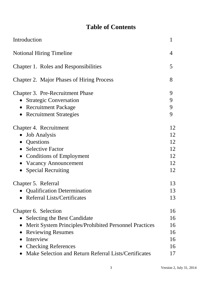# **Table of Contents**

| Introduction                                                                                                                                                                                                                                          | $\mathbf{1}$                           |
|-------------------------------------------------------------------------------------------------------------------------------------------------------------------------------------------------------------------------------------------------------|----------------------------------------|
| <b>Notional Hiring Timeline</b>                                                                                                                                                                                                                       | 4                                      |
| Chapter 1. Roles and Responsibilities                                                                                                                                                                                                                 | 5                                      |
| Chapter 2. Major Phases of Hiring Process                                                                                                                                                                                                             | 8                                      |
| Chapter 3. Pre-Recruitment Phase<br><b>Strategic Conversation</b><br><b>Recruitment Package</b><br>$\bullet$<br><b>Recruitment Strategies</b>                                                                                                         | 9<br>9<br>9<br>9                       |
| Chapter 4. Recruitment<br><b>Job Analysis</b><br>Questions<br>$\bullet$<br><b>Selective Factor</b><br><b>Conditions of Employment</b><br><b>Vacancy Announcement</b><br><b>Special Recruiting</b>                                                     | 12<br>12<br>12<br>12<br>12<br>12<br>12 |
| Chapter 5. Referral<br>• Qualification Determination<br>• Referral Lists/Certificates                                                                                                                                                                 | 13<br>13<br>13                         |
| Chapter 6. Selection<br><b>Selecting the Best Candidate</b><br>Merit System Principles/Prohibited Personnel Practices<br><b>Reviewing Resumes</b><br>Interview<br><b>Checking References</b><br>Make Selection and Return Referral Lists/Certificates | 16<br>16<br>16<br>16<br>16<br>16<br>17 |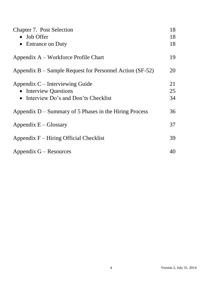| <b>Chapter 7. Post Selection</b>                         | 18 |
|----------------------------------------------------------|----|
| • Job Offer                                              | 18 |
| • Entrance on Duty                                       | 18 |
| Appendix A – Workforce Profile Chart                     | 19 |
| Appendix B – Sample Request for Personnel Action (SF-52) | 20 |
| Appendix $C$ – Interviewing Guide                        | 21 |
| • Interview Questions                                    | 25 |
| Interview Do's and Don'ts Checklist<br>$\bullet$         | 34 |
| Appendix $D$ – Summary of 5 Phases in the Hiring Process | 36 |
| Appendix $E - Glossary$                                  | 37 |
| Appendix $F$ – Hiring Official Checklist                 | 39 |
| $Appendix G - Resources$                                 | 40 |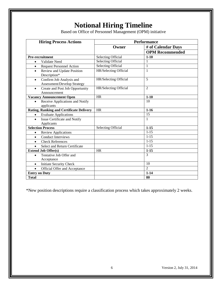# **Notional Hiring Timeline**

Based on Office of Personnel Management (OPM) initiative

| <b>Hiring Process Actions</b>                                        | <b>Performance</b>        |                        |  |  |  |  |
|----------------------------------------------------------------------|---------------------------|------------------------|--|--|--|--|
|                                                                      | Owner                     | # of Calendar Days     |  |  |  |  |
|                                                                      |                           | <b>OPM Recommended</b> |  |  |  |  |
| Pre-recruitment                                                      | Selecting Official        | $1-10$                 |  |  |  |  |
| Validate Need<br>$\bullet$                                           | <b>Selecting Official</b> | 1                      |  |  |  |  |
| <b>Request Personnel Action</b><br>$\bullet$                         | <b>Selecting Official</b> | 1                      |  |  |  |  |
| Review and Update Position<br>$\bullet$<br>Description*              | HR/Selecting Official     | 1                      |  |  |  |  |
| Confirm Job Analysis and<br>$\bullet$<br>Assessment/Develop Strategy | HR/Selecting Official     | 5                      |  |  |  |  |
| Create and Post Job Opportunity<br>$\bullet$<br>Announcement         | HR/Selecting Official     | $\overline{2}$         |  |  |  |  |
| <b>Vacancy Announcement Open</b>                                     | HR                        | $1 - 10$               |  |  |  |  |
| Receive Applications and Notify<br>applicants                        |                           | 10                     |  |  |  |  |
| <b>Rating, Ranking and Certificate Delivery</b>                      | <b>HR</b>                 | $1-16$                 |  |  |  |  |
| <b>Evaluate Applications</b><br>$\bullet$                            |                           | $\overline{15}$        |  |  |  |  |
| Issue Certificate and Notify<br>$\bullet$<br>Applicants              |                           | 1                      |  |  |  |  |
| <b>Selection Process</b>                                             | Selecting Official        | $1 - 15$               |  |  |  |  |
| <b>Review Applications</b><br>$\bullet$                              |                           | $1 - 15$               |  |  |  |  |
| <b>Conduct Interviews</b><br>$\bullet$                               |                           | $1 - 15$               |  |  |  |  |
| <b>Check References</b><br>$\bullet$                                 |                           | $1 - 15$               |  |  |  |  |
| Select and Return Certificate<br>$\bullet$                           |                           | $1 - 15$               |  |  |  |  |
| <b>Extend Job Offer(s)</b>                                           | HR                        | $1-15$                 |  |  |  |  |
| Tentative Job Offer and<br>$\bullet$                                 |                           | 3                      |  |  |  |  |
| Acceptance                                                           |                           |                        |  |  |  |  |
| <b>Initiate Security Check</b><br>$\bullet$                          |                           | 10                     |  |  |  |  |
| Official Offer and Acceptance<br>$\bullet$                           |                           | $\overline{2}$         |  |  |  |  |
| <b>Entry on Duty</b>                                                 |                           | $1 - 14$               |  |  |  |  |
| <b>Total</b>                                                         |                           | 80                     |  |  |  |  |

\*New position descriptions require a classification process which takes approximately 2 weeks.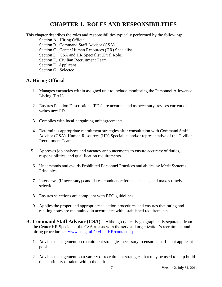### **CHAPTER 1. ROLES AND RESPONSIBILITIES**

This chapter describes the roles and responsibilities typically performed by the following:

- Section A. Hiring Official
- Section B. Command Staff Advisor (CSA)
- Section C. Center Human Resources (HR) Specialist
- Section D. CSA and HR Specialist (Dual Role)
- Section E. Civilian Recruitment Team
- Section F. Applicant
- Section G. Selectee

#### **A. Hiring Official**

- 1. Manages vacancies within assigned unit to include monitoring the Personnel Allowance Listing (PAL).
- 2. Ensures Position Descriptions (PDs) are accurate and as necessary, revises current or writes new PDs.
- 3. Complies with local bargaining unit agreements.
- 4. Determines appropriate recruitment strategies after consultation with Command Staff Advisor (CSA), Human Resources (HR) Specialist, and/or representative of the Civilian Recruitment Team.
- 5. Approves job analyses and vacancy announcements to ensure accuracy of duties, responsibilities, and qualification requirements.
- 6. Understands and avoids Prohibited Personnel Practices and abides by Merit Systems Principles.
- 7. Interviews (if necessary) candidates, conducts reference checks, and makes timely selections.
- 8. Ensures selections are compliant with EEO guidelines.
- 9. Applies the proper and appropriate selection procedures and ensures that rating and ranking notes are maintained in accordance with established requirements.
- **B. Command Staff Advisor (CSA) –** Although typically geographically separated from the Center HR Specialist, the CSA assists with the serviced organization's recruitment and hiring procedures. [www.uscg.mil/civilianHR/contact.asp](http://www.uscg.mil/civilianHR/contact.asp)
	- 1. Advises management on recruitment strategies necessary to ensure a sufficient applicant pool.
	- 2. Advises management on a variety of recruitment strategies that may be used to help build the continuity of talent within the unit.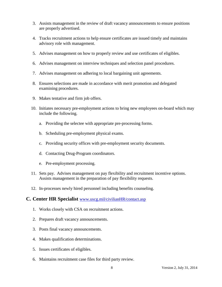- 3. Assists management in the review of draft vacancy announcements to ensure positions are properly advertised.
- 4. Tracks recruitment actions to help ensure certificates are issued timely and maintains advisory role with management.
- 5. Advises management on how to properly review and use certificates of eligibles.
- 6. Advises management on interview techniques and selection panel procedures.
- 7. Advises management on adhering to local bargaining unit agreements.
- 8. Ensures selections are made in accordance with merit promotion and delegated examining procedures.
- 9. Makes tentative and firm job offers.
- 10. Initiates necessary pre-employment actions to bring new employees on-board which may include the following.
	- a. Providing the selectee with appropriate pre-processing forms.
	- b. Scheduling pre-employment physical exams.
	- c. Providing security offices with pre-employment security documents.
	- d. Contacting Drug-Program coordinators.
	- e. Pre-employment processing.
- 11. Sets pay. Advises management on pay flexibility and recruitment incentive options. Assists management in the preparation of pay flexibility requests.
- 12. In-processes newly hired personnel including benefits counseling.

#### **C. Center HR Specialist** [www.uscg.mil/civilianHR/contact.asp](http://www.uscg.mil/civilianHR/contact.asp)

- 1. Works closely with CSA on recruitment actions.
- 2. Prepares draft vacancy announcements.
- 3. Posts final vacancy announcements.
- 4. Makes qualification determinations.
- 5. Issues certificates of eligibles.
- 6. Maintains recruitment case files for third party review.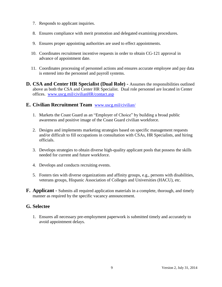- 7. Responds to applicant inquiries.
- 8. Ensures compliance with merit promotion and delegated examining procedures.
- 9. Ensures proper appointing authorities are used to effect appointments.
- 10. Coordinates recruitment incentive requests in order to obtain CG-121 approval in advance of appointment date.
- 11. Coordinates processing of personnel actions and ensures accurate employee and pay data is entered into the personnel and payroll systems.
- **D. CSA and Center HR Specialist (Dual Role) -** Assumes the responsibilities outlined above as both the CSA and Center HR Specialist. Dual role personnel are located in Center offices. [www.uscg.mil/civilianHR/contact.asp](http://www.uscg.mil/civilianHR/contact.asp)

#### **E. Civilian Recruitment Team** [www.uscg.mil/civilian/](http://www.uscg.mil/civilian/)

- 1. Markets the Coast Guard as an "Employer of Choice" by building a broad public awareness and positive image of the Coast Guard civilian workforce.
- 2. Designs and implements marketing strategies based on specific management requests and/or difficult to fill occupations in consultation with CSAs, HR Specialists, and hiring officials.
- 3. Develops strategies to obtain diverse high-quality applicant pools that possess the skills needed for current and future workforce.
- 4. Develops and conducts recruiting events.
- 5. Fosters ties with diverse organizations and affinity groups, e.g., persons with disabilities, veterans groups, Hispanic Association of Colleges and Universities (HACU), etc.
- **F. Applicant -** Submits all required application materials in a complete, thorough, and timely manner as required by the specific vacancy announcement.

#### **G. Selectee**

1. Ensures all necessary pre-employment paperwork is submitted timely and accurately to avoid appointment delays.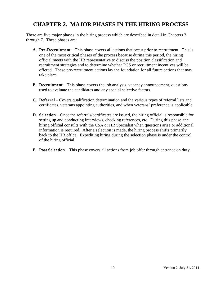# **CHAPTER 2. MAJOR PHASES IN THE HIRING PROCESS**

There are five major phases in the hiring process which are described in detail in Chapters 3 through 7. These phases are:

- **A. Pre**-**Recruitment** This phase covers all actions that occur prior to recruitment. This is one of the most critical phases of the process because during this period, the hiring official meets with the HR representative to discuss the position classification and recruitment strategies and to determine whether PCS or recruitment incentives will be offered. These pre-recruitment actions lay the foundation for all future actions that may take place.
- **B. Recruitment** This phase covers the job analysis, vacancy announcement, questions used to evaluate the candidates and any special selective factors.
- **C. Referral** Covers qualification determination and the various types of referral lists and certificates, veterans appointing authorities, and when veterans' preference is applicable.
- **D. Selection** Once the referrals/certificates are issued, the hiring official is responsible for setting up and conducting interviews, checking references, etc. During this phase, the hiring official consults with the CSA or HR Specialist when questions arise or additional information is required. After a selection is made, the hiring process shifts primarily back to the HR office. Expediting hiring during the selection phase is under the control of the hiring official.
- **E. Post Selection** This phase covers all actions from job offer through entrance on duty.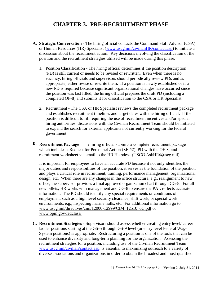# **CHAPTER 3. PRE-RECRUITMENT PHASE**

- **A. Strategic Conversation**  The hiring official contacts the Command Staff Advisor (CSA) or Human Resources (HR) Specialist [\(www.uscg.mil/civilianHR/contact.asp\)](http://www.uscg.mil/civilianHR/contact.asp) to initiate a discussion about the recruitment action. Key decisions involving the classification of the position and the recruitment strategies utilized will be made during this phase.
	- 1. Position Classification The hiring official determines if the position description (PD) is still current or needs to be revised or rewritten. Even when there is no vacancy, hiring officials and supervisors should periodically review PDs and as appropriate, either revise or rewrite them. If a position is newly established or if a new PD is required because significant organizational changes have occurred since the position was last filled, the hiring official prepares the draft PD (including a completed OF-8) and submits it for classification to the CSA or HR Specialist.
	- 2. Recruitment The CSA or HR Specialist reviews the completed recruitment package and establishes recruitment timelines and target dates with the hiring official. If the position is difficult to fill requiring the use of recruitment incentives and/or special hiring authorities, discussions with the Civilian Recruitment Team should be initiated to expand the search for external applicants not currently working for the federal government.
- **B. Recruitment Package**  The hiring official submits a complete recruitment package which includes a Request for Personnel Action (SF-52), PD with the OF-8, and recruitment worksheet via email to the HR Helpdesk (USCG.AskHR@uscg.mil).

It is important for employees to have an accurate PD because it not only identifies the major duties and responsibilities of the position; it serves as the foundation of the position and plays a critical role in recruitment, training, performance management, organizational design, etc. When there are any changes in the office structure, e.g., realignment to new office, the supervisor provides a final approved organization chart through CG-8. For all new billets, HR works with management and CG-8 to ensure the PAL reflects accurate information. The PD should identify any special requirements or conditions of employment such as a high level security clearance, shift work, or special work environments, e.g., inspecting marine hulls, etc. For additional information go to [www.uscg.mil/directives/cim/12000-12999/CIM\\_12510\\_6C.pdf](http://www.uscg.mil/directives/cim/12000-12999/CIM_12510_6C.pdf) or [www.opm.gov/fedclass/.](http://www.opm.gov/fedclass/)

**C. Recruitment Strategies** - Supervisors should assess whether creating entry level/ career ladder positions starting at the GS-5 through GS-9 level (or entry level Federal Wage System positions) is appropriate. Restructuring a position is one of the tools that can be used to enhance diversity and long-term planning for the organization. Assessing the recruitment strategies for a position, including use of the Civilian Recruitment Team [www.uscg.mil/civilian/contact.asp,](http://www.uscg.mil/civilian/contact.asp) is essential to maximizing outreach to a variety of diverse associations and organizations in order to obtain the broadest and most qualified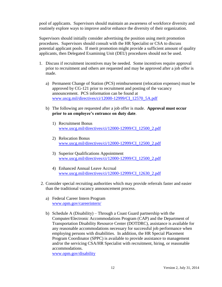pool of applicants. Supervisors should maintain an awareness of workforce diversity and routinely explore ways to improve and/or enhance the diversity of their organization.

Supervisors should initially consider advertising the position using merit promotion procedures. Supervisors should consult with the HR Specialist or CSA to discuss potential applicant pools. If merit promotion might provide a sufficient amount of quality applicants, then Delegated Examining Unit (DEU) procedures should not be used.

- 1. Discuss if recruitment incentives may be needed. Some incentives require approval prior to recruitment and others are requested and may be approved after a job offer is made.
	- a) Permanent Change of Station (PCS) reimbursement (relocation expenses) must be approved by CG-121 prior to recruitment and posting of the vacancy announcement. PCS information can be found at [www.uscg.mil/directives/ci/12000-12999/CI\\_12570\\_5A.pdf](http://www.uscg.mil/directives/ci/12000-12999/CI_12570_5A.pdf)
	- b) The following are requested after a job offer is made. **Approval must occur prior to an employee's entrance on duty date**.
		- 1) Recruitment Bonus [www.uscg.mil/directives/ci/12000-12999/CI\\_12500\\_2.pdf](http://www.uscg.mil/directives/ci/12000-12999/CI_12500_2.pdf)
		- 2) Relocation Bonus [www.uscg.mil/directives/ci/12000-12999/CI\\_12500\\_2.pdf](http://www.uscg.mil/directives/ci/12000-12999/CI_12500_2.pdf)
		- 3) Superior Qualifications Appointment [www.uscg.mil/directives/ci/12000-12999/CI\\_12500\\_2.pdf](http://www.uscg.mil/directives/ci/12000-12999/CI_12500_2.pdf)
		- 4) Enhanced Annual Leave Accrual [www.uscg.mil/directives/ci/12000-12999/CI\\_12630\\_2.pdf](http://www.uscg.mil/directives/ci/12000-12999/CI_12630_2.pdf)
- 2. Consider special recruiting authorities which may provide referrals faster and easier than the traditional vacancy announcement process.
	- a) Federal Career Intern Program [www.opm.gov/careerintern/](http://www.opm.gov/careerintern/)
	- b) Schedule A (Disability) Through a Coast Guard partnership with the Computer/Electronic Accommodations Program (CAP) and the Department of Transportation Disability Resource Center (DOTDRC), assistance is available for any reasonable accommodations necessary for successful job performance when employing persons with disabilities. In addition, the HR Special Placement Program Coordinator (SPPC) is available to provide assistance to management and/or the servicing CSA/HR Specialist with recruitment, hiring, or reasonable accommodations.

[www.opm.gov/disability](http://www.opm.gov/disability)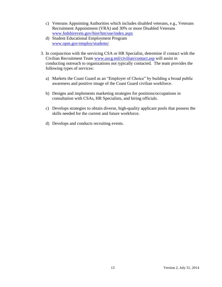- c) Veterans Appointing Authorities which includes disabled veterans, e.g., Veterans Recruitment Appointment (VRA) and 30% or more Disabled Veterans [www.fedshirevets.gov/hire/hm/use/index.aspx](http://www.fedshirevets.gov/hire/hm/use/index.aspx)
- d) Student Educational Employment Program [www.opm.gov/employ/students/](http://www.opm.gov/employ/students/)
- 3. In conjunction with the servicing CSA or HR Specialist, determine if contact with the Civilian Recruitment Team [www.uscg.mil/civilian/contact.asp](http://www.uscg.mil/civilian/contact.asp) will assist in conducting outreach to organizations not typically contacted. The team provides the following types of services:
	- a) Markets the Coast Guard as an "Employer of Choice" by building a broad public awareness and positive image of the Coast Guard civilian workforce.
	- b) Designs and implements marketing strategies for positions/occupations in consultation with CSAs, HR Specialists, and hiring officials.
	- c) Develops strategies to obtain diverse, high-quality applicant pools that possess the skills needed for the current and future workforce.
	- d) Develops and conducts recruiting events.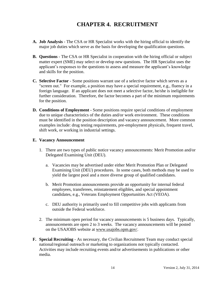# **CHAPTER 4. RECRUITMENT**

- **A. Job Analysis** The CSA or HR Specialist works with the hiring official to identify the major job duties which serve as the basis for developing the qualification questions.
- **B. Questions** The CSA or HR Specialist in cooperation with the hiring official or subject matter expert (SME) may select or develop new questions. The HR Specialist uses the applicant's responses to the questions to assess and measure the applicant's knowledge and skills for the position.
- **C. Selective Factor** Some positions warrant use of a selective factor which serves as a "screen out." For example, a position may have a special requirement, e.g., fluency in a foreign language. If an applicant does not meet a selective factor, he/she is ineligible for further consideration. Therefore, the factor becomes a part of the minimum requirements for the position.
- **D. Conditions of Employment -** Some positions require special conditions of employment due to unique characteristics of the duties and/or work environment. These conditions must be identified in the position description and vacancy announcement. More common examples include: drug testing requirements, pre-employment physicals, frequent travel, shift work, or working in industrial settings.

#### **E. Vacancy Announcement**

- 1. There are two types of public notice vacancy announcements: Merit Promotion and/or Delegated Examining Unit (DEU).
	- a. Vacancies may be advertised under either Merit Promotion Plan or Delegated Examining Unit (DEU) procedures. In some cases, both methods may be used to yield the largest pool and a more diverse group of qualified candidates.
	- b. Merit Promotion announcements provide an opportunity for internal federal employees, transferees, reinstatement eligibles, and special appointment candidates, e.g., Veterans Employment Opportunities Act (VEOA).
	- c. DEU authority is primarily used to fill competitive jobs with applicants from outside the Federal workforce.
- 2. The minimum open period for vacancy announcements is 5 business days. Typically, announcements are open 2 to 3 weeks. The vacancy announcements will be posted on the USAJOBS website at www.usajobs.opm.gov/.
- **F. Special Recruiting** As necessary, the Civilian Recruitment Team may conduct special national/regional outreach or marketing to organizations not typically contacted. Activities may include recruiting events and/or advertisements in publications or other media.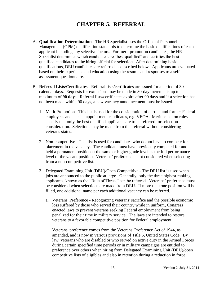# **CHAPTER 5. REFERRAL**

- A. **Qualification Determination** The HR Specialist uses the Office of Personnel Management (OPM) qualification standards to determine the basic qualifications of each applicant including any selective factors. For merit promotion candidates, the HR Specialist determines which candidates are "best qualified" and certifies the best qualified candidates to the hiring official for selection. After determining basic qualifications, DEU candidates are referred as described below. Applicants are evaluated based on their experience and education using the resume and responses to a selfassessment questionnaire.
- B. **Referral Lists/Certificates** Referral lists/certificates are issued for a period of 30 calendar days. Requests for extensions may be made in 30-day increments up to a maximum of **90 days**. Referral lists/certificates expire after 90 days and if a selection has not been made within 90 days, a new vacancy announcement must be issued.
	- 1. Merit Promotion This list is used for the consideration of current and former Federal employees and special appointment candidates, e.g. VEOA. Merit selection rules specify that only the best qualified applicants are to be referred for selection consideration. Selections may be made from this referral without considering veterans status.
	- 2. Non-competitive This list is used for candidates who do not have to compete for placement in the vacancy. The candidate must have previously competed for and held a permanent position at the same or higher grade level as the full performance level of the vacant position. Veterans' preference is not considered when selecting from a non-competitive list.
	- 3. Delegated Examining Unit (DEU)/Open Competitive The DEU list is used when jobs are announced to the public at large. Generally, only the three highest ranking applicants, known as the "Rule of Three," can be referred. Veterans' preference must be considered when selections are made from DEU. If more than one position will be filled, one additional name per each additional vacancy can be referred.
		- a. Veterans' Preference Recognizing veterans' sacrifice and the possible economic loss suffered by those who served their country while in uniform, Congress enacted laws to prevent veterans seeking Federal employment from being penalized for their time in military service. The laws are intended to restore veterans to a favorable competitive position for Federal employment.

Veterans' preference comes from the Veterans' Preference Act of 1944, as amended, and is now in various provisions of Title 5, United States Code. By law, veterans who are disabled or who served on active duty in the Armed Forces during certain specified time periods or in military campaigns are entitled to preference over others when hiring from Delegated Examining Unit (DEU)/open competitive lists of eligibles and also in retention during a reduction in force.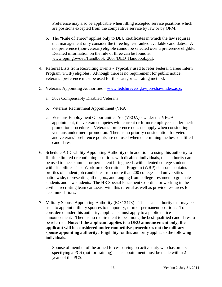Preference may also be applicable when filling excepted service positions which are positions excepted from the competitive service by law or by OPM.

- b. The "Rule of Three" applies only to DEU certificates in which the law requires that management only consider the three highest ranked available candidates. A nonpreference (non-veteran) eligible cannot be selected over a preference eligible. Detailed information on the rule of three can be found at [www.opm.gov/deu/Handbook\\_2007/DEO\\_Handbook.pdf.](http://www.opm.gov/deu/Handbook_2007/DEO_Handbook.pdf)
- 4. Referral Lists from Recruiting Events Typically used to refer Federal Career Intern Program (FCIP) eligibles. Although there is no requirement for public notice, veterans' preference must be used for this categorical rating method.
- 5. Veterans Appointing Authorities [www.fedshirevets.gov/job/shav/index.aspx](http://www.fedshirevets.gov/job/shav/index.aspx)
	- a. 30% Compensably Disabled Veterans
	- b. Veterans Recruitment Appointment (VRA)
	- c. Veterans Employment Opportunities Act (VEOA) Under the VEOA appointment, the veteran competes with current or former employees under merit promotion procedures. Veterans' preference does not apply when considering veterans under merit promotion. There is no priority consideration for veterans and veterans' preference points are not used when determining the best-qualified candidates.
- 6. Schedule A (Disability Appointing Authority) In addition to using this authority to fill time limited or continuing positions with disabled individuals, this authority can be used to meet summer or permanent hiring needs with talented college students with disabilities. The Workforce Recruitment Program (WRP) database contains profiles of student job candidates from more than 200 colleges and universities nationwide, representing all majors, and ranging from college freshmen to graduate students and law students. The HR Special Placement Coordinator working in the civilian recruiting team can assist with this referral as well as provide resources for accommodations.
- 7. Military Spouse Appointing Authority (EO 13473) This is an authority that may be used to appoint military spouses to temporary, term or permanent positions. To be considered under this authority, applicants must apply to a public notice announcement. There is no requirement to be among the best-qualified candidates to be referred. **Note: If the applicant applies to a DEU announcement only, the applicant will be considered under competitive procedures not the military spouse appointing authority.** Eligibility for this authority applies to the following individuals.
	- a. Spouse of member of the armed forces serving on active duty who has orders specifying a PCS (not for training). The appointment must be made within 2 years of the PCS.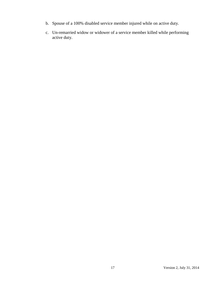- b. Spouse of a 100% disabled service member injured while on active duty.
- c. Un-remarried widow or widower of a service member killed while performing active duty.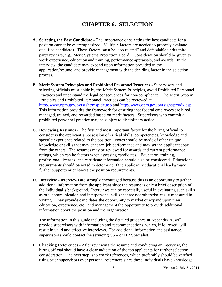## **CHAPTER 6. SELECTION**

- **A. Selecting the Best Candidate** The importance of selecting the best candidate for a position cannot be overemphasized. Multiple factors are needed to properly evaluate qualified candidates. These factors must be "job related" and defendable under third party reviews, e.g., Merit Systems Protection Board. Consideration should be given to work experience, education and training, performance appraisals, and awards. In the interview, the candidate may expand upon information provided in the application/resume, and provide management with the deciding factor in the selection process.
- **B. Merit System Principles and Prohibited Personnel Practices**  Supervisors and selecting officials must abide by the Merit System Principles, avoid Prohibited Personnel Practices and understand the legal consequences for non-compliance. The Merit System Principles and Prohibited Personnel Practices can be reviewed at <http://www.opm.gov/ovrsight/mspidx.asp> and [http://www.opm.gov/ovrsight/proidx.asp.](http://www.opm.gov/ovrsight/proidx.asp) This information provides the framework for ensuring that federal employees are hired, managed, trained, and rewarded based on merit factors. Supervisors who commit a prohibited personnel practice may be subject to disciplinary action.
- **C. Reviewing Resumes** The first and most important factor for the hiring official to consider is the applicant's possession of critical skills, competencies, knowledge and specific experience related to the position. Notes should be made of other unique knowledge or skills that may enhance job performance and may set the applicant apart from the others. The resumes may be reviewed for awards and current performance ratings, which can be factors when assessing candidates. Education, training, professional licenses, and certificate information should also be considered. Educational requirements should be noted to determine if the applicant's educational background further supports or enhances the position requirements.
- **D. Interview** Interviews are strongly encouraged because this is an opportunity to gather additional information from the applicant since the resume is only a brief description of the individual's background. Interviews can be especially useful in evaluating such skills as oral communication and interpersonal skills that are not otherwise easily measured in writing. They provide candidates the opportunity to market or expand upon their education, experience, etc., and management the opportunity to provide additional information about the position and the organization.

The information in this guide including the detailed guidance in Appendix A, will provide supervisors with information and recommendations, which, if followed, will result in valid and effective interviews. For additional information and assistance, supervisors should contact the servicing CSA or HR Specialist.

**E. Checking References** - After reviewing the resume and conducting an interview, the hiring official should have a clear indication of the top applicants for further selection consideration. The next step is to check references, which preferably should be verified using prior supervisors over personal references since these individuals have knowledge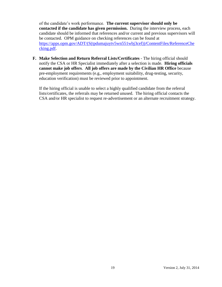of the candidate's work performance. **The current supervisor should only be contacted if the candidate has given permission.** During the interview process, each candidate should be informed that references and/or current and previous supervisors will be contacted. OPM guidance on checking references can be found at [https://apps.opm.gov/ADT/\(S\(tpdumajuytv5wn551wbj3cef\)\)/ContentFiles/ReferenceChe](https://apps.opm.gov/ADT/(S(tpdumajuytv5wn551wbj3cef))/ContentFiles/ReferenceChecking.pdf) [cking.pdf.](https://apps.opm.gov/ADT/(S(tpdumajuytv5wn551wbj3cef))/ContentFiles/ReferenceChecking.pdf)

**F. Make Selection and Return Referral Lists/Certificates** - The hiring official should notify the CSA or HR Specialist immediately after a selection is made. **Hiring officials cannot make job offers**. **All job offers are made by the Civilian HR Office** because pre-employment requirements (e.g., employment suitability, drug-testing, security, education verification) must be reviewed prior to appointment.

If the hiring official is unable to select a highly qualified candidate from the referral lists/certificates, the referrals may be returned unused. The hiring official contacts the CSA and/or HR specialist to request re-advertisement or an alternate recruitment strategy.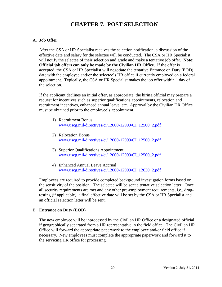# **CHAPTER 7. POST SELECTION**

#### A. **Job Offer**

After the CSA or HR Specialist receives the selection notification, a discussion of the effective date and salary for the selectee will be conducted. The CSA or HR Specialist will notify the selectee of their selection and grade and make a tentative job offer. **Note: Official job offers can only be made by the Civilian HR Office.** If the offer is accepted, the CSA or HR Specialist will negotiate the tentative Entrance on Duty (EOD) date with the employee and/or the selectee's HR office if currently employed on a federal appointment. Typically, the CSA or HR Specialist makes the job offer within 1 day of the selection.

If the applicant declines an initial offer, as appropriate, the hiring official may prepare a request for incentives such as superior qualifications appointments, relocation and recruitment incentives, enhanced annual leave, etc. Approval by the Civilian HR Office must be obtained prior to the employee's appointment.

- 1) Recruitment Bonus [www.uscg.mil/directives/ci/12000-12999/CI\\_12500\\_2.pdf](http://www.uscg.mil/directives/ci/12000-12999/CI_12500_2.pdf)
- 2) Relocation Bonus [www.uscg.mil/directives/ci/12000-12999/CI\\_12500\\_2.pdf](http://www.uscg.mil/directives/ci/12000-12999/CI_12500_2.pdf)
- 3) Superior Qualifications Appointment [www.uscg.mil/directives/ci/12000-12999/CI\\_12500\\_2.pdf](http://www.uscg.mil/directives/ci/12000-12999/CI_12500_2.pdf)
- 4) Enhanced Annual Leave Accrual [www.uscg.mil/directives/ci/12000-12999/CI\\_12630\\_2.pdf](http://www.uscg.mil/directives/ci/12000-12999/CI_12630_2.pdf)

Employees are required to provide completed background investigation forms based on the sensitivity of the position. The selectee will be sent a tentative selection letter. Once all security requirements are met and any other pre-employment requirements, i.e., drugtesting (if applicable), a final effective date will be set by the CSA or HR Specialist and an official selection letter will be sent.

#### B. **Entrance on Duty (EOD)**

The new employee will be inprocessed by the Civilian HR Office or a designated official if geographically separated from a HR representative in the field office. The Civilian HR Office will forward the appropriate paperwork to the employee and/or field office if necessary. New employees must complete the appropriate paperwork and forward it to the servicing HR office for processing.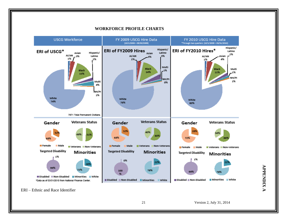

#### **WORKFORCE PROFILE CHARTS**

ERI – Ethnic and Race Identifier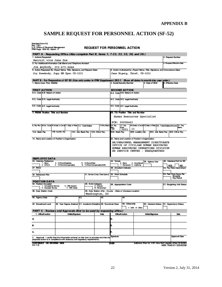# **SAMPLE REQUEST FOR PERSONNEL ACTION (SF-52)**

| <b>Standard Form 52</b><br>Rev. 7/91<br>FPM Supp. 296-33, Subch. 3 |                                                                                       | U.S. Office of Personnel Management                                                                                                                                       |                 |                    |                     |                                                    |                   |                                                                       |                                                                           |                                 | <b>REQUEST FOR PERSONNEL ACTION</b>                                                                                 |  |                     |  |                                      |                                                                             |
|--------------------------------------------------------------------|---------------------------------------------------------------------------------------|---------------------------------------------------------------------------------------------------------------------------------------------------------------------------|-----------------|--------------------|---------------------|----------------------------------------------------|-------------------|-----------------------------------------------------------------------|---------------------------------------------------------------------------|---------------------------------|---------------------------------------------------------------------------------------------------------------------|--|---------------------|--|--------------------------------------|-----------------------------------------------------------------------------|
|                                                                    | PART A - Requesting Office (Also complete Part B, Items 1, 7-22, 32, 33, 36, and 39.) |                                                                                                                                                                           |                 |                    |                     |                                                    |                   |                                                                       |                                                                           |                                 |                                                                                                                     |  |                     |  |                                      |                                                                             |
| 1. Actions Requested<br>Recruit vice Jane Doe                      |                                                                                       |                                                                                                                                                                           |                 |                    |                     |                                                    | 2. Request Number |                                                                       |                                                                           |                                 |                                                                                                                     |  |                     |  |                                      |                                                                             |
| 3. For Additional Information Call (Name and Telephone Number)     |                                                                                       |                                                                                                                                                                           |                 |                    |                     |                                                    |                   | 4. Propased Effective Date                                            |                                                                           |                                 |                                                                                                                     |  |                     |  |                                      |                                                                             |
|                                                                    | Joe Anybody, 202-475-XXXX                                                             |                                                                                                                                                                           |                 |                    |                     |                                                    |                   |                                                                       |                                                                           |                                 |                                                                                                                     |  |                     |  |                                      |                                                                             |
|                                                                    |                                                                                       | 5. Action Requested By (Typed Name, Title, Signature, and Request Date)                                                                                                   |                 |                    |                     |                                                    |                   |                                                                       |                                                                           |                                 | 6. Action Authorized by (Typed Name, Title, Signature, and Concumence Date)                                         |  |                     |  |                                      |                                                                             |
|                                                                    |                                                                                       | Joy Somebody, Supy HR Spec CG-1211                                                                                                                                        |                 |                    |                     |                                                    |                   |                                                                       |                                                                           |                                 | Jane Bigwig, Chief, CG-1211                                                                                         |  |                     |  |                                      |                                                                             |
| 1. Name (Lest, First, Middle)                                      |                                                                                       |                                                                                                                                                                           |                 |                    |                     |                                                    |                   |                                                                       |                                                                           | 2. Social Security Number       | PART B - For Preparation of SF 50 (Use only codes in FPM Supplement 292-1. Show all dates in month-day-year order.) |  | 3. Date of Birth    |  | 4. Effective Date                    |                                                                             |
|                                                                    |                                                                                       |                                                                                                                                                                           |                 |                    |                     |                                                    |                   |                                                                       |                                                                           |                                 |                                                                                                                     |  |                     |  |                                      |                                                                             |
|                                                                    | <b>FIRST ACTION</b>                                                                   |                                                                                                                                                                           |                 |                    |                     |                                                    |                   |                                                                       |                                                                           | <b>SECOND ACTION</b>            |                                                                                                                     |  |                     |  |                                      |                                                                             |
| 5-A. Code 5-B. Nature of Action                                    |                                                                                       |                                                                                                                                                                           |                 |                    |                     |                                                    |                   |                                                                       |                                                                           | 6-A. Code 6-B. Nature of Action |                                                                                                                     |  |                     |  |                                      |                                                                             |
| 5-C. Code 5-D. Legal Authority                                     |                                                                                       |                                                                                                                                                                           |                 |                    |                     |                                                    |                   |                                                                       |                                                                           | 6-C. Code 6-D. Legal Authority  |                                                                                                                     |  |                     |  |                                      |                                                                             |
|                                                                    |                                                                                       |                                                                                                                                                                           |                 |                    |                     |                                                    |                   |                                                                       |                                                                           |                                 |                                                                                                                     |  |                     |  |                                      |                                                                             |
| 5-E. Code 5-F. Legal Authority                                     |                                                                                       |                                                                                                                                                                           |                 |                    |                     |                                                    |                   |                                                                       |                                                                           | 6-E. Code 6-F. Legal Authority  |                                                                                                                     |  |                     |  |                                      |                                                                             |
|                                                                    |                                                                                       | 7. FROM: Position Title and Number                                                                                                                                        |                 |                    |                     |                                                    |                   |                                                                       |                                                                           |                                 | 15. TO: Position Title and Number                                                                                   |  |                     |  |                                      |                                                                             |
|                                                                    |                                                                                       |                                                                                                                                                                           |                 |                    |                     |                                                    |                   |                                                                       |                                                                           |                                 | Human Resources Specialist                                                                                          |  |                     |  |                                      |                                                                             |
|                                                                    |                                                                                       |                                                                                                                                                                           |                 |                    |                     |                                                    |                   |                                                                       |                                                                           | PCN: 00008463                   |                                                                                                                     |  |                     |  |                                      |                                                                             |
|                                                                    |                                                                                       | 8. Pay Pan 8.0cc. Code 10.Grade or Leve 11.Step or Pate 12. Total Salary                                                                                                  |                 |                    |                     |                                                    |                   | 13 Pay Basis                                                          | 16. Pay                                                                   | 17. Goc.                        | 18.Grade or Level 19.Step or Pate 20. Total Salary/Award 21. Pay                                                    |  |                     |  |                                      |                                                                             |
|                                                                    |                                                                                       |                                                                                                                                                                           |                 |                    |                     |                                                    |                   |                                                                       | 'NG                                                                       | Code<br>0201                    | 13                                                                                                                  |  |                     |  |                                      |                                                                             |
| 12A. Basic Pay                                                     |                                                                                       | 12B. Locality Adj.                                                                                                                                                        |                 |                    | 12C. Adj. Basic Pay |                                                    |                   | 12D. Other Pay                                                        | 20A. Basic Pay                                                            |                                 | 20B. Locality Adj.                                                                                                  |  |                     |  | 20C. Adj. Basic Pay 20D. Other Pay   |                                                                             |
|                                                                    |                                                                                       | 14. Name and Location of Position's Organization                                                                                                                          |                 |                    |                     |                                                    |                   |                                                                       |                                                                           |                                 | 22. Name and Location of Position's Organization                                                                    |  |                     |  |                                      |                                                                             |
|                                                                    |                                                                                       |                                                                                                                                                                           |                 |                    |                     |                                                    |                   |                                                                       |                                                                           |                                 | HR/PERSONNEL MANAGEMENT DIRECTORATE                                                                                 |  |                     |  |                                      |                                                                             |
|                                                                    |                                                                                       |                                                                                                                                                                           |                 |                    |                     |                                                    |                   |                                                                       | OFFICE OF CIVILIAN HUMAN RESOURCES<br>HUMAN RESOURCES OPERATIONS DIVISION |                                 |                                                                                                                     |  |                     |  |                                      |                                                                             |
|                                                                    |                                                                                       |                                                                                                                                                                           |                 |                    |                     |                                                    |                   |                                                                       |                                                                           |                                 | HR SERVICE CENTER - HEADQUARTERS                                                                                    |  |                     |  |                                      |                                                                             |
|                                                                    |                                                                                       |                                                                                                                                                                           |                 |                    |                     |                                                    |                   |                                                                       |                                                                           |                                 |                                                                                                                     |  |                     |  |                                      |                                                                             |
| 23. Vaterans Preference                                            | <b>EMPLOYEE DATA</b>                                                                  |                                                                                                                                                                           |                 |                    |                     |                                                    |                   |                                                                       | 24. Tenure                                                                |                                 |                                                                                                                     |  | 25. Agency Use      |  | 26. Veterans Pref for RF             |                                                                             |
|                                                                    | 1 - None<br>$2 - 8$ Paint                                                             | 3 - 10-Paint/Disability<br>4 - 10-Point/Companisable                                                                                                                      |                 |                    |                     | 5 - 10-Point/Other<br>6 - 10-Point/Companaable/30% |                   |                                                                       |                                                                           | O - None                        | 2 - Conditional<br>1 - Remanent 3 - Indefinite                                                                      |  |                     |  | YES                                  | <b>NO</b>                                                                   |
| 27. <b>FEGU</b>                                                    |                                                                                       |                                                                                                                                                                           |                 |                    |                     |                                                    |                   |                                                                       |                                                                           | 28. Annuitant Indicator         |                                                                                                                     |  |                     |  |                                      | 29. Pay Rate Daterminant                                                    |
|                                                                    |                                                                                       |                                                                                                                                                                           |                 |                    |                     |                                                    |                   |                                                                       |                                                                           |                                 |                                                                                                                     |  |                     |  | 33. Part-Time Hours Per              |                                                                             |
| 30. Retirement Plan                                                |                                                                                       |                                                                                                                                                                           |                 |                    |                     |                                                    |                   |                                                                       | 31. Service Comp. Date (Leave) 32. Work Schedule                          |                                 |                                                                                                                     |  |                     |  | <b>Biweekly</b><br><b>Pay Period</b> |                                                                             |
| 34. Position Occupied                                              | <b>POSITION DATA</b>                                                                  |                                                                                                                                                                           |                 |                    |                     | 35. R.S.A Category                                 |                   |                                                                       |                                                                           |                                 |                                                                                                                     |  |                     |  |                                      |                                                                             |
|                                                                    | 1 - Competitive Service<br>2 - Excepted Service                                       |                                                                                                                                                                           | 3 - SIS General | 4 - SES Caner      |                     |                                                    | E - Exempt        | N-Nonexempt                                                           |                                                                           | 36. Appropriation Code          |                                                                                                                     |  |                     |  |                                      | 37. Bargaining Unit Status                                                  |
| 38. Duty Station Code                                              |                                                                                       |                                                                                                                                                                           |                 |                    |                     |                                                    |                   | Washington, DC                                                        | 39. Duty Station (City - County - State or Overseas Location)             |                                 |                                                                                                                     |  |                     |  |                                      |                                                                             |
| 40. Agency Data                                                    |                                                                                       | 41.                                                                                                                                                                       |                 |                    | 42.                 |                                                    |                   | 43.                                                                   |                                                                           | 44.                             |                                                                                                                     |  |                     |  |                                      |                                                                             |
|                                                                    |                                                                                       |                                                                                                                                                                           |                 |                    |                     |                                                    |                   |                                                                       |                                                                           |                                 |                                                                                                                     |  |                     |  |                                      |                                                                             |
| 45. Educational Level                                              |                                                                                       |                                                                                                                                                                           |                 |                    |                     |                                                    |                   | 46. Year Dagree Attained 47. Academic Discipline 48. Functional Class |                                                                           | 49. Citizenship                 | 1 - USA 8 - Other                                                                                                   |  | 50. Veterans Status |  | 51. Supervisory Status               |                                                                             |
|                                                                    | 1. Office/Function                                                                    | PART C - Reviews and Approvals (Not to be used by requesting office.)                                                                                                     |                 | Initials/Signature |                     |                                                    |                   | Date                                                                  |                                                                           | <b>Office/Function</b>          |                                                                                                                     |  | hiffala/Signature   |  |                                      | Date                                                                        |
| A.                                                                 |                                                                                       |                                                                                                                                                                           |                 |                    |                     |                                                    |                   |                                                                       | D.                                                                        |                                 |                                                                                                                     |  |                     |  |                                      |                                                                             |
| B.                                                                 |                                                                                       |                                                                                                                                                                           |                 |                    |                     |                                                    |                   |                                                                       | E.                                                                        |                                 |                                                                                                                     |  |                     |  |                                      |                                                                             |
| C.                                                                 |                                                                                       |                                                                                                                                                                           |                 |                    |                     |                                                    |                   |                                                                       |                                                                           |                                 |                                                                                                                     |  |                     |  |                                      |                                                                             |
|                                                                    |                                                                                       |                                                                                                                                                                           |                 |                    |                     |                                                    |                   |                                                                       | Signature                                                                 |                                 |                                                                                                                     |  |                     |  |                                      | <b>Approval Date</b>                                                        |
|                                                                    |                                                                                       | 2. Approval: I certify that the information entered on this form is accurate and that the<br>proposed action is in compliance with statutory and regulatory requirements. |                 |                    |                     |                                                    |                   |                                                                       |                                                                           |                                 |                                                                                                                     |  |                     |  |                                      |                                                                             |
| 52-118                                                             |                                                                                       | <b>CONTINUED ON REVERSE SIDE</b>                                                                                                                                          |                 |                    |                     |                                                    |                   |                                                                       | <b>OVER</b>                                                               |                                 |                                                                                                                     |  |                     |  |                                      | Editions Prior to 7/91 Are Not Usable After 6/30/93<br>NSN 7540-01-333-6239 |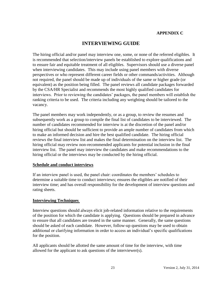#### **APPENDIX C**

#### **INTERVIEWING GUIDE**

The hiring official and/or panel may interview one, some, or none of the referred eligibles. It is recommended that selection/interview panels be established to explore qualifications and to ensure fair and equitable treatment of all eligibles. Supervisors should use a diverse panel when interviewing candidates. This may include using panel members with diverse perspectives or who represent different career fields or other commands/activities. Although not required, the panel should be made up of individuals of the same or higher grade (or equivalent) as the position being filled. The panel reviews all candidate packages forwarded by the CSA/HR Specialist and recommends the most highly qualified candidates for interviews. Prior to reviewing the candidates' packages, the panel members will establish the ranking criteria to be used. The criteria including any weighting should be tailored to the vacancy.

The panel members may work independently, or as a group, to review the resumes and subsequently work as a group to compile the final list of candidates to be interviewed. The number of candidates recommended for interview is at the discretion of the panel and/or hiring official but should be sufficient to provide an ample number of candidates from which to make an informed decision and hire the best qualified candidate. The hiring official reviews the final interview list and makes the final determination on the interview list. The hiring official may review non-recommended applicants for potential inclusion in the final interview list. The panel may interview the candidates and make recommendations to the hiring official or the interviews may be conducted by the hiring official.

#### **Schedule and conduct interviews**

If an interview panel is used, the panel chair: coordinates the members' schedules to determine a suitable time to conduct interviews; ensures the eligibles are notified of their interview time; and has overall responsibility for the development of interview questions and rating sheets.

#### **Interviewing Techniques**

Interview questions should always elicit job-related information relative to the requirements of the position for which the candidate is applying. Questions should be prepared in advance to ensure that all candidates are treated in the same manner. Generally, the same questions should be asked of each candidate. However, follow-up questions may be used to obtain additional or clarifying information in order to access an individual's specific qualifications for the position.

All applicants should be allotted the same amount of time for the interview, with time allowed for the applicant to ask questions of the interviewer(s).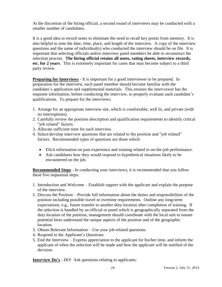At the discretion of the hiring official, a second round of interviews may be conducted with a smaller number of candidates.

It is a good idea to record notes to eliminate the need to recall key points from memory. It is also helpful to note the date, time, place, and length of the interview. A copy of the interview questions and the name of individual(s) who conducted the interview should be on file. It is important that selecting officials and/or interview panel members be able to reconstruct the selection process. **The hiring official retains all notes, rating sheets, interview records, etc. for 2 years**. This is extremely important for cases that may become subject to a third party review.

**Preparing for Interviews** - It is important for a good interviewer to be prepared. In preparation for the interview, each panel member should become familiar with the candidate's application and supplemental materials. This ensures the interviewer has the requisite information, before conducting the interview, to properly evaluate each candidate's qualifications. To prepare for the interviews:

- 1. Arrange for an appropriate interview site, which is comfortable, well lit, and private (with no interruptions).
- 2. Carefully review the position description and qualification requirements to identify critical "iob related" factors.
- 3. Allocate sufficient time for each interview.
- 4. Select/develop interview questions that are related to the position and "job related" factors. Recommended types of questions are those which:
	- Elicit information on past experience and training related to on-the-job performance.
	- Ask candidates how they would respond to hypothetical situations likely to be encountered on the job.

**Recommended Steps** - In conducting your interviews, it is recommended that you follow these five sequential steps:

- 1. Introduction and Welcome Establish rapport with the applicant and explain the purpose of the interview.
- 2. Discuss the Position Provide full information about the duties and responsibilities of the position including possible travel or overtime requirements. Outline any long-term expectations, e.g., future transfer to another duty location after completion of training. If the selection is handled by an official or panel which is geographically separated from the duty location of the position, management should coordinate with the local unit to ensure potential hires understand the unique aspects of the position and of the geographic location.
- 3. Obtain Relevant Information Use your job-related questions.
- 4. Respond to the Applicant's Questions.
- 5. End the Interview Express appreciation to the applicant for his/her time, and inform the applicant of when the selection will be made and how the applicant will be notified of the decision.

**Interview Do's** - DO! Ask questions relating to applicants: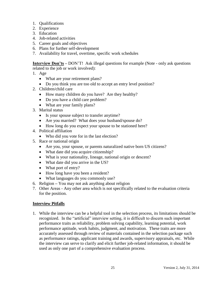- 1. Qualifications
- 2. Experience
- 3. Education
- 4. Job-related activities
- 5. Career goals and objectives
- 6. Plans for further self-development
- 7. Availability for travel, overtime, specific work schedules

**Interview Don'ts –** DON'T! Ask illegal questions for example (Note - only ask questions related to the job or work involved):

- 1. Age
	- What are your retirement plans?
	- Do you think you are too old to accept an entry level position?
- 2. Children/child care
	- How many children do you have? Are they healthy?
	- Do you have a child care problem?
	- What are your family plans?
- 3. Marital status
	- Is your spouse subject to transfer anytime?
	- Are you married? What does your husband/spouse do?
	- How long do you expect your spouse to be stationed here?
- 4. Political affiliation
	- Who did you vote for in the last election?
- 5. Race or national origin
	- Are you, your spouse, or parents naturalized native born US citizens?
	- What date did you acquire citizenship?
	- What is your nationality, lineage, national origin or descent?
	- What date did you arrive in the US?
	- What port of entry?
	- How long have you been a resident?
	- What languages do you commonly use?
- 6. Religion **–** You may not ask anything about religion
- 7. Other Areas Any other area which is not specifically related to the evaluation criteria for the position.

#### **Interview Pitfalls**

1. While the interview can be a helpful tool in the selection process, its limitations should be recognized. In the "artificial" interview setting, it is difficult to discern such important performance traits as reliability, problem solving capability, learning potential, work performance aptitude, work habits, judgment, and motivation. These traits are more accurately assessed through review of materials contained in the selection package such as performance ratings, applicant training and awards, supervisory appraisals, etc. While the interview can serve to clarify and elicit further job-related information, it should be used as only one part of a comprehensive evaluation process.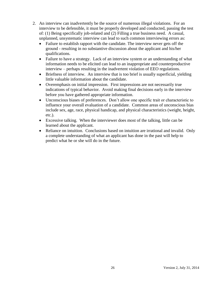- 2. An interview can inadvertently be the source of numerous illegal violations. For an interview to be defensible, it must be properly developed and conducted, passing the test of: (1) Being specifically job-related and (2) Filling a true business need. A casual, unplanned, unsystematic interview can lead to such common interviewing errors as:
	- Failure to establish rapport with the candidate. The interview never gets off the ground - resulting in no substantive discussion about the applicant and his/her qualifications.
	- Failure to have a strategy. Lack of an interview system or an understanding of what information needs to be elicited can lead to an inappropriate and counterproductive interview – perhaps resulting in the inadvertent violation of EEO regulations.
	- Briefness of interview. An interview that is too brief is usually superficial, yielding little valuable information about the candidate.
	- Overemphasis on initial impression. First impressions are not necessarily true indications of typical behavior. Avoid making final decisions early in the interview before you have gathered appropriate information.
	- Unconscious biases of preferences. Don't allow one specific trait or characteristic to influence your overall evaluation of a candidate. Common areas of unconscious bias include sex, age, race, physical handicap, and physical characteristics (weight, height, etc.).
	- Excessive talking. When the interviewer does most of the talking, little can be learned about the applicant.
	- Reliance on intuition. Conclusions based on intuition are irrational and invalid. Only a complete understanding of what an applicant has done in the past will help to predict what he or she will do in the future.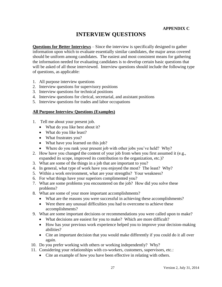# **INTERVIEW QUESTIONS**

**Questions for Better Interviews** – Since the interview is specifically designed to gather information upon which to evaluate essentially similar candidates, the major areas covered should be uniform among candidates. The easiest and most consistent means for gathering the information needed for evaluating candidates is to develop certain basic questions that will be asked of all those interviewed. Interview questions should include the following type of questions, as applicable:

- 1. All purpose interview questions
- 2. Interview questions for supervisory positions
- 3. Interview questions for technical positions
- 4. Interview questions for clerical, secretarial, and assistant positions
- 5. Interview questions for trades and labor occupations

#### **All Purpose Interview Questions (Examples)**

- 1. Tell me about your present job.
	- What do you like best about it?
	- What do you like least?
	- What frustrates you?
	- What have you learned on this job?
	- Where do you rank your present job with other jobs you've held? Why?
- 2. How have you changed the content of your job from when you first assumed it (e.g., expanded its scope, improved its contribution to the organization, etc.)?
- 3. What are some of the things in a job that are important to you?
- 4. In general, what type of work have you enjoyed the most? The least? Why?
- 5. Within a work environment, what are your strengths? Your weakness?
- 6. For what things have your superiors complimented you?
- 7. What are some problems you encountered on the job? How did you solve these problems?
- 8. What are some of your more important accomplishments?
	- What are the reasons you were successful in achieving these accomplishments?
	- Were there any unusual difficulties you had to overcome to achieve these accomplishments?
- 9. What are some important decisions or recommendations you were called upon to make?
	- What decisions are easiest for you to make? Which are more difficult?
	- How has your previous work experience helped you to improve your decision-making abilities?
	- Cite an important decision that you would make differently if you could do it all over again.
- 10. Do you prefer working with others or working independently? Why?
- 11. Considering your relationships with co-workers, customers, supervisors, etc.:
	- Cite an example of how you have been effective in relating with others.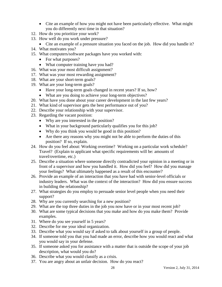- Cite an example of how you might not have been particularly effective. What might you do differently next time in that situation?
- 12. How do you prioritize your work?
- 13. How well do you work under pressure?
	- Cite an example of a pressure situation you faced on the job. How did you handle it?
- 14. What motivates you?
- 15. What computers/software packages have you worked with:
	- For what purposes?
	- What computer training have you had?
- 16. What was your most difficult assignment?
- 17. What was your most rewarding assignment?
- 18. What are your short-term goals?
- 19. What are your long-term goals?
	- Have your long-term goals changed in recent years? If so, how?
	- What are you doing to achieve your long-term objectives?
- 20. What have you done about your career development in the last few years?
- 21. What kind of supervisor gets the best performance out of you?
- 22. Describe your relationship with your supervisor.
- 23. Regarding the vacant position:
	- Why are you interested in the position?
	- What in your background particularly qualifies you for this job?
	- Why do you think you would be good in this position?
	- Are there any reasons why you might not be able to perform the duties of this position? If so, explain.
- 24. How do you feel about: Working overtime? Working on a particular work schedule? Travel? (Explain to applicant what specific requirements will be: amounts of travel/overtime, etc.)
- 25. Describe a situation where someone directly contradicted your opinion in a meeting or in front of a supervisor and how you handled it. How did you feel? How did you manage your feelings? What ultimately happened as a result of this encounter?
- 26. Provide an example of an interaction that you have had with senior-level officials or industry leaders. What was the context of the interaction? How did you ensure success in building the relationship?
- 27. What strategies do you employ to persuade senior level people when you need their support?
- 28. Why are you currently searching for a new position?
- 29. What are the top three duties in the job you now have or in your most recent job?
- 30. What are some typical decisions that you make and how do you make them? Provide examples.
- 31. Where do you see yourself in 5 years?
- 32. Describe for me your ideal organization.
- 33. Describe what you would say if asked to talk about yourself in a group of people.
- 34. If someone told you that you had made an error, describe how you would react and what you would say in your defense.
- 35. If someone asked you for assistance with a matter that is outside the scope of your job description, what would you do?
- 36. Describe what you would classify as a crisis.
- 37. You are angry about an unfair decision. How do you react?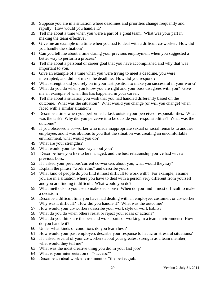- 38. Suppose you are in a situation where deadlines and priorities change frequently and rapidly. How would you handle it?
- 39. Tell me about a time when you were a part of a great team. What was your part in making the team effective?
- 40. Give me an example of a time when you had to deal with a difficult co-worker. How did you handle the situation?
- 41. Can you tell me about a time during your previous employment when you suggested a better way to perform a process?
- 42. Tell me about a personal or career goal that you have accomplished and why that was important to you.
- 43. Give an example of a time when you were trying to meet a deadline, you were interrupted, and did not make the deadline. How did you respond?
- 44. What strengths did you rely on in your last position to make you successful in your work?
- 45. What do you do when you know you are right and your boss disagrees with you? Give me an example of when this has happened in your career.
- 46. Tell me about a situation you wish that you had handled differently based on the outcome. What was the situation? What would you change (or will you change) when faced with a similar situation?
- 47. Describe a time when you performed a task outside your perceived responsibilities. What was the task? Why did you perceive it to be outside your responsibilities? What was the outcome?
- 48. If you observed a co-worker who made inappropriate sexual or racial remarks to another employee, and it was obvious to you that the situation was creating an uncomfortable environment, what would you do?
- 49. What are your strengths?
- 50. What would your last boss say about you?
- 51. Describe how you like to be managed, and the best relationship you've had with a previous boss.
- 52. If I asked your previous/current co-workers about you, what would they say?
- 53. Explain the phrase "work ethic" and describe yours.
- 54. What kind of people do you find it most difficult to work with? For example, assume you are in a situation where you have to deal with a person very different from yourself and you are finding it difficult. What would you do?
- 55. What methods do you use to make decisions? When do you find it most difficult to make a decision?
- 56. Describe a difficult time you have had dealing with an employee, customer, or co-worker. Why was it difficult? How did you handle it? What was the outcome?
- 57. How would your co-workers describe your work style or work habits?
- 58. What do you do when others resist or reject your ideas or actions?
- 59. What do you think are the best and worst parts of working in a team environment? How do you handle it?
- 60. Under what kinds of conditions do you learn best?
- 61. How would your past employers describe your response to hectic or stressful situations?
- 62. If I asked several of your co-workers about your greatest strength as a team member, what would they tell me?
- 63. What was the most creative thing you did in your last job?
- 64. What is your interpretation of "success?"
- 65. Describe an ideal work environment or "the perfect job."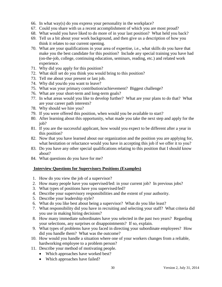- 66. In what way(s) do you express your personality in the workplace?
- 67. Could you share with us a recent accomplishment of which you are most proud?
- 68. What would you have liked to do more of in your last position? What held you back?
- 69. Tell us a bit about your work background, and then give us a description of how you think it relates to our current opening.
- 70. What are your qualifications in your area of expertise, i.e., what skills do you have that make you the best candidate for this position? Include any special training you have had (on-the-job, college, continuing education, seminars, reading, etc.) and related work experience.
- 71. Why did you apply for this position?
- 72. What skill set do you think you would bring to this position?
- 73. Tell me about your present or last job.
- 74. Why did you/do you want to leave?
- 75. What was your primary contribution/achievement? Biggest challenge?
- 76. What are your short-term and long-term goals?
- 77. In what areas would you like to develop further? What are your plans to do that? What are your career path interests?
- 78. Why should we hire you?
- 79. If you were offered this position, when would you be available to start?
- 80. After learning about this opportunity, what made you take the next step and apply for the iob?
- 81. If you are the successful applicant, how would you expect to be different after a year in this position?
- 82. Now that you have learned about our organization and the position you are applying for, what hesitation or reluctance would you have in accepting this job if we offer it to you?
- 83. Do you have any other special qualifications relating to this position that I should know about?
- 84. What questions do you have for me?

#### **Interview Questions for Supervisory Positions (Examples)**

- 1. How do you view the job of a supervisor?
- 2. How many people have you supervised/led: in your current job? In previous jobs?
- 3. What types of positions have you supervised/led?
- 4. Describe your supervisory responsibilities and the extent of your authority.
- 5. Describe your leadership style?
- 6. What do you like best about being a supervisor? What do you like least?
- 7. What responsibility did you have in recruiting and selecting your staff? What criteria did you use in making hiring decisions?
- 8. How many immediate subordinates have you selected in the past two years? Regarding your selections, any surprises or disappointments? If so, explain.
- 9. What types of problems have you faced in directing your subordinate employees? How did you handle them? What was the outcome?
- 10. How would you handle a situation where one of your workers changes from a reliable, hardworking employee to a problem person?
- 11. Describe your method of motivating people.
	- Which approaches have worked best?
	- Which approaches have failed?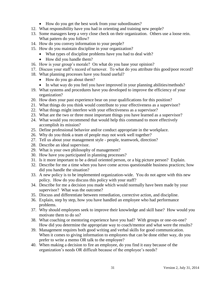- How do you get the best work from your subordinates?
- 12. What responsibility have you had in orienting and training new people?
- 13. Some managers keep a very close check on their organization. Others use a loose rein. What pattern do you follow?
- 14. How do you convey information to your people?
- 15. How do you maintain discipline in your organization?
	- What types of discipline problems have you had to deal with?
	- How did you handle them?
- 16. How is your group's morale? On what do you base your opinion?
- 17. Discuss your staff's record of turnover. To what do you attribute this good/poor record?
- 18. What planning processes have you found useful?
	- How do you go about them?
	- In what way do you feel you have improved in your planning abilities/methods?
- 19. What systems and procedures have you developed to improve the efficiency of your organization?
- 20. How does your past experience bear on your qualifications for this position?
- 21. What things do you think would contribute to your effectiveness as a supervisor?
- 22. What things might interfere with your effectiveness as a supervisor?
- 23. What are the two or three most important things you have learned as a supervisor?
- 24. What would you recommend that would help this command to more effectively accomplish its mission?
- 25. Define professional behavior and/or conduct appropriate in the workplace.
- 26. Why do you think a team of people may not work well together?
- 27. Tell us about your management style people, teamwork, direction?
- 28. Describe an ideal supervisor.
- 29. What is your own philosophy of management?
- 30. How have you participated in planning processes?
- 31. Is it more important to be a detail oriented person, or a big picture person? Explain.
- 32. Describe for me a time when you have come across questionable business practices; how did you handle the situation?
- 33. A new policy is to be implemented organization-wide. You do not agree with this new policy. How do you discuss this policy with your staff?
- 34. Describe for me a decision you made which would normally have been made by your supervisor? What was the outcome?
- 35. Discuss and differentiate between remediation, corrective action, and discipline.
- 36. Explain, step by step, how you have handled an employee who had performance problems.
- 37. Why should employees seek to improve their knowledge and skill base? How would you motivate them to do so?
- 38. What coaching or mentoring experience have you had? With groups or one-on-one? How did you determine the appropriate way to coach/mentor and what were the results?
- 39. Management requires both good writing and verbal skills for good communication. When it comes to giving information to employees that can be done either way, do you prefer to write a memo OR talk to the employee?
- 40. When making a decision to fire an employee, do you find it easy because of the organization's needs OR difficult because of the employee's needs?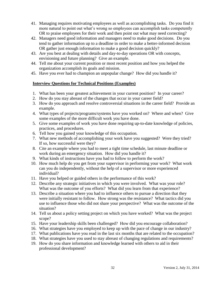- 41. Managing requires motivating employees as well as accomplishing tasks. Do you find it more natural to point out what's wrong so employees can accomplish tasks competently OR to praise employees for their work and then point out what may need correcting?
- 42. Managers need good information and managers need to make good decisions. Do you tend to gather information up to a deadline in order to make a better-informed decision OR gather just enough information to make a good decision quickly?
- 43. Are you best at dealing with details and day-to-day operations OR with concepts, envisioning and future planning? Give an example.
- 44. Tell me about your current position or most recent position and how you helped the organization accomplish its goals and mission.
- 45. Have you ever had to champion an unpopular change? How did you handle it?

#### **Interview Questions for Technical Positions (Examples)**

- 1. What has been your greatest achievement in your current position? In your career?
- 2. How do you stay abreast of the changes that occur in your career field?
- 3. How do you approach and resolve controversial situations in the career field? Provide an example.
- 4. What types of projects/programs/systems have you worked on? Where and when? Give some examples of the more difficult work you have done.
- 5. Give some examples of work you have done requiring up-to-date knowledge of policies, practices, and procedures.
- 6. Tell how you gained your knowledge of this occupation.
- 7. What new methods of accomplishing your work have you suggested? Were they tried? If so, how successful were they?
- 8. Cite an example where you had to meet a tight time schedule, last minute deadline or work during an emergency situation. How did you handle it?
- 9. What kinds of instructions have you had to follow to perform the work?
- 10. How much help do you get from your supervisor in performing your work? What work can you do independently, without the help of a supervisor or more experienced individual?
- 11. Have you helped or guided others in the performance of this work?
- 12. Describe any strategic initiatives in which you were involved. What was your role? What was the outcome of you efforts? What did you learn from that experience?
- 13. Describe a situation where you had to influence others to pursue a direction that they were initially resistant to follow. How strong was the resistance? What tactics did you use to influence those who did not share your perspective? What was the outcome of the situation?
- 14. Tell us about a policy setting project on which you have worked? What was the project scope?
- 15. Have your leadership skills been challenged? How did you encourage collaboration?
- 16. What strategies have you employed to keep up with the pace of change in our industry?
- 17. What publications have you read in the last six months that are related to the occupation?
- 18. What strategies have you used to stay abreast of changing regulations and requirements?
- 19. How do you share information and knowledge learned with others to aid in their professional development?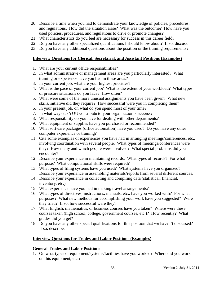- 20. Describe a time when you had to demonstrate your knowledge of policies, procedures, and regulations. How did the situation arise? What was the outcome? How have you used policies, procedures, and regulations to drive or promote changes?
- 21. What characteristics do you feel are necessary for success in this career field?
- 22. Do you have any other specialized qualifications I should know about? If so, discuss.
- 23. Do you have any additional questions about the position or the training requirements?

#### **Interview Questions for Clerical, Secretarial, and Assistant Positions (Examples)**

- 1. What are your current office responsibilities?
- 2. In what administrative or management areas are you particularly interested? What training or experience have you had in these areas?
- 3. In your current job, what are your highest priorities?
- 4. What is the pace of your current job? What is the extent of your workload? What types of pressure situations do you face? How often?
- 5. What were some of the more unusual assignments you have been given? What new skills/initiative did they require? How successful were you in completing them?
- 6. In your present job, on what do you spend most of your time?
- 7. In what ways do YOU contribute to your organization's success?
- 8. What responsibility do you have for dealing with other departments?
- 9. What equipment or supplies have you purchased or recommended?
- 10. What software packages (office automation) have you used? Do you have any other computer experience or training?
- 11. Cite some examples of experiences you have had in arranging meetings/conferences, etc., involving coordination with several people. What types of meetings/conferences were they? How many and which people were involved? What special problems did you encounter?
- 12. Describe your experience in maintaining records. What types of records? For what purpose? What computational skills were required?
- 13. What types of filing systems have you used? What systems have you organized? Describe your experience in assembling materials/reports from several different sources.
- 14. Describe your experience in collecting and compiling data (statistical, financial, inventory, etc.).
- 15. What experience have you had in making travel arrangements?
- 16. What types of directives, instructions, manuals, etc., have you worked with? For what purposes? What new methods for accomplishing your work have you suggested? Were they tried? If so, how successful were they?
- 17. What English, mathematics, or business courses have you taken? Where were these courses taken (high school, college, government courses, etc.)? How recently? What grades did you get?
- 18. Do you have any other special qualifications for this position that we haven't discussed? If so, describe.

#### **Interview Questions for Trades and Labor Positions (Examples)**

#### **General Trades and Labor Positions**

1. On what types of equipment/systems/facilities have you worked? Where did you work on this equipment, etc.?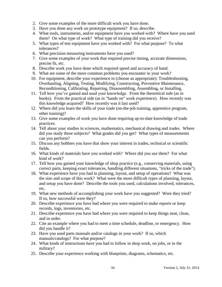- 2. Give some examples of the more difficult work you have done.
- 3. Have you done any work on prototype equipment? If so, describe.
- 4. What tools, instruments, and/or equipment have you worked with? Where have you used them? On what type of work? What type of training did you receive?
- 5. What types of test equipment have you worked with? For what purpose? To what tolerances?
- 6. What precision measuring instruments have you used?
- 7. Give some examples of your work that required precise timing, accurate dimensions, precise fit, etc.
- 8. Describe work you have done which required speed and accuracy of hand.
- 9. What are some of the more common problems you encounter in your work?
- 10. For equipment, describe your experience in (choose as appropriate): Troubleshooting, Overhauling, Aligning, Testing, Modifying, Constructing, Preventive Maintenance, Reconditioning, Calibrating, Repairing, Disassembling, Assembling, or Installing.
- 11. Tell how you've gained and used your knowledge. From the theoretical side (as in books). From the practical side (as in "hands on" work experience). How recently was this knowledge acquired? How recently was it last used?
- 12. Where did you learn the skills of your trade (on-the-job training, apprentice program, other training)?
- 13. Give some examples of work you have done requiring up-to-date knowledge of trade practices.
- 14. Tell about your studies in sciences, mathematics, mechanical drawing and trades. Where did you study these subjects? What grades did you get? What types of measurements can you perform?
- 15. Discuss any hobbies you have that show your interest in trades, technical or scientific fields.
- 16. What kinds of materials have you worked with? Where did you use them? For what kind of work?
- 17. Tell how you gained your knowledge of shop practice (e.g., conserving materials, using correct parts, keeping exact tolerances, handling different situations, "tricks of the trade").
- 18. What experience have you had in planning, layout, and setup of operations? What was the size and scope of this work? What were the more difficult types of planning, layout, and setup you have done? Describe the tools you used, calculations involved, tolerances, etc.
- 19. What new methods of accomplishing your work have you suggested? Were they tried? If so, how successful were they?
- 20. Describe experience you have had where you were required to make reports or keep records, logs, inventories, etc.
- 21. Describe experience you have had where you were required to keep things neat, clean, and in order.
- 22. Cite an example where you had to meet a time schedule, deadline, or emergency. How did you handle it?
- 23. Have you used parts manuals and/or catalogs in your work? If so, which manuals/catalogs? For what purpose?
- 24. What kinds of instructions have you had to follow in shop work, on jobs, or in the military?
- 25. Describe your experience working with blueprints, diagrams, schematics, etc.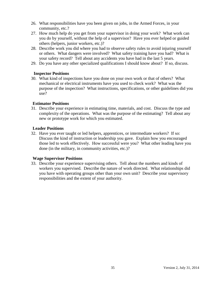- 26. What responsibilities have you been given on jobs, in the Armed Forces, in your community, etc.?
- 27. How much help do you get from your supervisor in doing your work? What work can you do by yourself, without the help of a supervisor? Have you ever helped or guided others (helpers, junior workers, etc.)?
- 28. Describe work you did where you had to observe safety rules to avoid injuring yourself or others. What dangers were involved? What safety training have you had? What is your safety record? Tell about any accidents you have had in the last 5 years.
- 29. Do you have any other specialized qualifications I should know about? If so, discuss.

#### **Inspector Positions**

30. What kind of inspections have you done on your own work or that of others? What mechanical or electrical instruments have you used to check work? What was the purpose of the inspection? What instructions, specifications, or other guidelines did you use?

#### **Estimator Positions**

31. Describe your experience in estimating time, materials, and cost. Discuss the type and complexity of the operations. What was the purpose of the estimating? Tell about any new or prototype work for which you estimated.

#### **Leader Positions**

32. Have you ever taught or led helpers, apprentices, or intermediate workers? If so: Discuss the kind of instruction or leadership you gave. Explain how you encouraged those led to work effectively. How successful were you? What other leading have you done (in the military, in community activities, etc.)?

#### **Wage Supervisor Positions**

33. Describe your experience supervising others. Tell about the numbers and kinds of workers you supervised. Describe the nature of work directed. What relationships did you have with operating groups other than your own unit? Describe your supervisory responsibilities and the extent of your authority.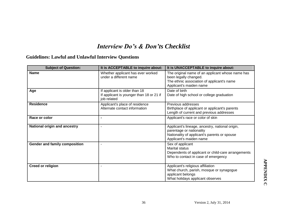# *Interview Do's & Don'ts Checklist*

# **Guidelines: Lawful and Unlawful Interview Questions**

| <b>Subject of Question:</b>   | It is ACCEPTABLE to inquire about:                                                       | It is UNACCEPTABLE to inquire about:                                                                                                                   |
|-------------------------------|------------------------------------------------------------------------------------------|--------------------------------------------------------------------------------------------------------------------------------------------------------|
| <b>Name</b>                   | Whether applicant has ever worked<br>under a different name                              | The original name of an applicant whose name has<br>been legally changed.<br>The ethnic association of applicant's name<br>Applicant's maiden name     |
| Age                           | If applicant is older than 18<br>If applicant is younger than 18 or 21 if<br>job related | Date of birth<br>Date of high school or college graduation                                                                                             |
| <b>Residence</b>              | Applicant's place of residence<br>Alternate contact information                          | Previous addresses<br>Birthplace of applicant or applicant's parents<br>Length of current and previous addresses                                       |
| Race or color                 | $\blacksquare$                                                                           | Applicant's race or color of skin                                                                                                                      |
| National origin and ancestry  | ä,                                                                                       | Applicant's lineage, ancestry, national origin,<br>parentage or nationality<br>Nationality of applicant's parents or spouse<br>Applicant's maiden name |
| Gender and family composition |                                                                                          | Sex of applicant<br><b>Marital status</b><br>Dependents of applicant or child-care arrangements<br>Who to contact in case of emergency                 |
| <b>Creed or religion</b>      |                                                                                          | Applicant's religious affiliation<br>What church, parish, mosque or synagogue<br>applicant belongs<br>What holidays applicant observes                 |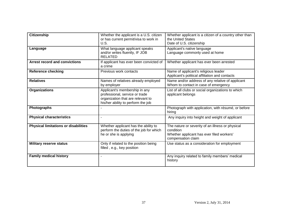| <b>Citizenship</b>                          | Whether the applicant is a U.S. citizen<br>or has current permit/visa to work in<br>U.S.                                                   | Whether applicant is a citizen of a country other than<br>the United States<br>Date of U.S. citizenship                          |
|---------------------------------------------|--------------------------------------------------------------------------------------------------------------------------------------------|----------------------------------------------------------------------------------------------------------------------------------|
| Language                                    | What language applicant speaks<br>and/or writes fluently, IF JOB<br><b>RELATED</b>                                                         | Applicant's native language<br>Language commonly used at home                                                                    |
| <b>Arrest record and convictions</b>        | If applicant has ever been convicted of<br>a crime                                                                                         | Whether applicant has ever been arrested                                                                                         |
| <b>Reference checking</b>                   | Previous work contacts                                                                                                                     | Name of applicant's religious leader<br>Applicant's political affiliation and contacts                                           |
| <b>Relatives</b>                            | Names of relatives already employed<br>by employer                                                                                         | Name and/or address of any relative of applicant<br>Whom to contact in case of emergency                                         |
| <b>Organizations</b>                        | Applicant's membership in any<br>professional, service or trade<br>organization that are relevant to<br>his/her ability to perform the job | List of all clubs or social organizations to which<br>applicant belongs                                                          |
| <b>Photographs</b>                          |                                                                                                                                            | Photograph with application, with résumé, or before<br>hiring                                                                    |
| <b>Physical characteristics</b>             |                                                                                                                                            | Any inquiry into height and weight of applicant                                                                                  |
| <b>Physical limitations or disabilities</b> | Whether applicant has the ability to<br>perform the duties of the job for which<br>he or she is applying                                   | The nature or severity of an illness or physical<br>condition<br>Whether applicant has ever filed workers'<br>compensation claim |
| <b>Military reserve status</b>              | Only if related to the position being<br>filled, e.g., key position                                                                        | Use status as a consideration for employment                                                                                     |
| <b>Family medical history</b>               | $\blacksquare$                                                                                                                             | Any inquiry related to family members' medical<br>history                                                                        |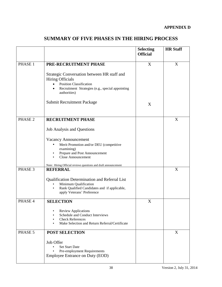|  |  |  | <b>SUMMARY OF FIVE PHASES IN THE HIRING PROCESS</b> |  |
|--|--|--|-----------------------------------------------------|--|
|--|--|--|-----------------------------------------------------|--|

|                    |                                                                                                                                                                                                        | <b>Selecting</b><br><b>Official</b> | <b>HR Staff</b> |
|--------------------|--------------------------------------------------------------------------------------------------------------------------------------------------------------------------------------------------------|-------------------------------------|-----------------|
| PHASE 1            | PRE-RECRUITMENT PHASE                                                                                                                                                                                  | X                                   | X               |
|                    | Strategic Conversation between HR staff and<br><b>Hiring Officials</b><br><b>Position Classification</b><br>$\bullet$<br>Recruitment Strategies (e.g., special appointing<br>$\bullet$<br>authorities) |                                     |                 |
|                    | <b>Submit Recruitment Package</b>                                                                                                                                                                      | X                                   |                 |
| PHASE <sub>2</sub> | <b>RECRUITMENT PHASE</b>                                                                                                                                                                               |                                     | X               |
|                    | <b>Job Analysis and Questions</b>                                                                                                                                                                      |                                     |                 |
|                    | Vacancy Announcement                                                                                                                                                                                   |                                     |                 |
|                    | Merit Promotion and/or DEU (competitive<br>٠                                                                                                                                                           |                                     |                 |
|                    | examining)<br>Prepare and Post Announcement                                                                                                                                                            |                                     |                 |
|                    | <b>Close Announcement</b>                                                                                                                                                                              |                                     |                 |
|                    |                                                                                                                                                                                                        |                                     |                 |
| PHASE 3            | Note: Hiring Official reviews questions and draft announcement<br><b>REFERRAL</b>                                                                                                                      |                                     | X               |
|                    |                                                                                                                                                                                                        |                                     |                 |
|                    | Qualification Determination and Referral List                                                                                                                                                          |                                     |                 |
|                    | Minimum Qualification<br>Rank Qualified Candidates and if applicable,<br>$\bullet$                                                                                                                     |                                     |                 |
|                    | apply Veterans' Preference                                                                                                                                                                             |                                     |                 |
| PHASE 4            | <b>SELECTION</b>                                                                                                                                                                                       | X                                   |                 |
|                    | <b>Review Applications</b><br>Schedule and Conduct Interviews<br><b>Check References</b><br>Make Selection and Return Referral/Certificate                                                             |                                     |                 |
| PHASE 5            | <b>POST SELECTION</b>                                                                                                                                                                                  |                                     | X               |
|                    | Job Offer<br><b>Set Start Date</b><br>Pre-employment Requirements<br>Employee Entrance on Duty (EOD)                                                                                                   |                                     |                 |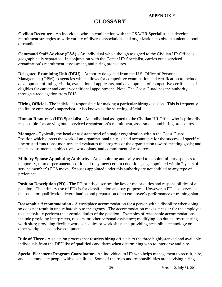#### **APPENDIX E**

### **GLOSSARY**

**Civilian Recruiter** - An individual who, in conjunction with the CSA/HR Specialist, can develop recruitment strategies to wide variety of diverse associations and organizations to obtain a talented pool of candidates.

**Command Staff Advisor (CSA)** - An individual who although assigned to the Civilian HR Office is geographically separated. In conjunction with the Center HR Specialist, carries out a serviced organization's recruitment, assessment, and hiring procedures.

**Delegated Examining Unit (DEU)** - Authority delegated from the U.S. Office of Personnel Management (OPM) to agencies which allows for competitive examination and certification to include development of rating criteria, evaluation of applicants, and development of competitive certificates of eligibles for career and career-conditional appointment. Note: The Coast Guard has the authority through a redelegation from DHS.

**Hiring Official** - The individual responsible for making a particular hiring decision. This is frequently the future employee's supervisor. Also known as the selecting official.

**Human Resources (HR) Specialist** - An individual assigned to the Civilian HR Office who is primarily responsible for carrying out a serviced organization's recruitment, assessment, and hiring procedures.

**Manager** - Typically the head or assistant head of a major organization within the Coast Guard. Position which directs the work of an organizational unit; is held accountable for the success of specific line or staff functions; monitors and evaluates the progress of the organization toward meeting goals; and makes adjustments in objectives, work plans, and commitment of resources.

**Military Spouse Appointing Authority** - An appointing authority used to appoint military spouses to temporary, term or permanent positions if they meet certain conditions, e.g. appointed within 2 years of service member's PCS move. Spouses appointed under this authority are not entitled to any type of preference.

**Position Description (PD)** - The PD briefly describes the key or major duties and responsibilities of a position. The primary use of PDs is for classification and pay purposes. However, a PD also serves as the basis for qualification determination and preparation of an employee's performance or training plan.

**Reasonable Accommodation** - A workplace accommodation for a person with a disability when doing so does not result in undue hardship to the agency. The accommodation makes it easier for the employee to successfully perform the essential duties of the position. Examples of reasonable accommodations include providing interpreters, readers, or other personal assistance; modifying job duties; restructuring work sites; providing flexible work schedules or work sites; and providing accessible technology or other workplace adaptive equipment.

**Rule of Three** - A selection process that restricts hiring officials to the three highly-ranked and available individuals from the DEU list of qualified candidates when determining who to interview and hire.

**Special Placement Program Coordinator** - An individual in HR who helps management to recruit, hire, and accommodate people with disabilities. Some of the roles and responsibilities are: advising hiring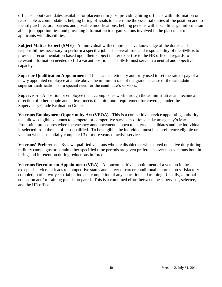officials about candidates available for placement in jobs; providing hiring officials with information on reasonable accommodation; helping hiring officials to determine the essential duties of the position and to identify architectural barriers and possible modifications; helping persons with disabilities get information about job opportunities; and providing information to organizations involved in the placement of applicants with disabilities.

**Subject Matter Expert (SME)** - An individual with comprehensive knowledge of the duties and responsibilities necessary to perform a specific job. The overall role and responsibility of the SME is to provide a recommendation based upon their subject matter expertise to the HR office in regards to relevant information needed to fill a vacant position. The SME must serve in a neutral and objective capacity.

**Superior Qualification Appointment** - This is a discretionary authority used to set the rate of pay of a newly appointed employee at a rate above the minimum rate of the grade because of the candidate's superior qualifications or a special need for the candidate's services.

**Supervisor** - A position or employee that accomplishes work through the administrative and technical direction of other people and at least meets the minimum requirement for coverage under the Supervisory Grade Evaluation Guide.

**Veterans Employment Opportunity Act (VEOA)** - This is a competitive service appointing authority that allows eligible veterans to compete for competitive service positions under an agency's Merit Promotion procedures when the vacancy announcement is open to external candidates and the individual is selected from the list of best qualified. To be eligible, the individual must be a preference eligible or a veteran who substantially completed 3 or more years of active service.

**Veterans' Preference** - By law, qualified veterans who are disabled or who served on active duty during military campaigns or certain other specified time periods are given preference over non-veterans both in hiring and in retention during reductions in force.

**Veterans Recruitment Appointment (VRA)** - A noncompetitive appointment of a veteran in the excepted service. It leads to competitive status and career or career conditional tenure upon satisfactory completion of a two-year trial period and completion of any education and training. Usually, a formal education and/or training plan is prepared. This is a combined effort between the supervisor, selectee, and the HR office.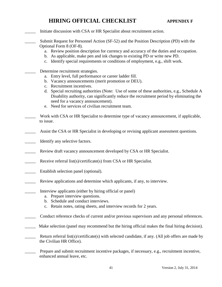### **HIRING OFFICIAL CHECKLIST APPENDIX F**

\_\_\_\_\_ Initiate discussion with CSA or HR Specialist about recruitment action.

Submit Request for Personnel Action (SF-52) and the Position Description (PD) with the Optional Form 8 (OF-8).

- a. Review position description for currency and accuracy of the duties and occupation.
- b. As applicable, make pen and ink changes to existing PD or write new PD.
- c. Identify special requirements or conditions of employment, e.g., shift work.
- Determine recruitment strategies.
	- a. Entry level, full performance or career ladder fill.
	- b. Vacancy announcements (merit promotion or DEU).
	- c. Recruitment incentives.
	- d. Special recruiting authorities (Note: Use of some of these authorities, e.g., Schedule A Disability authority, can significantly reduce the recruitment period by eliminating the need for a vacancy announcement).
	- e. Need for services of civilian recruitment team.
- Work with CSA or HR Specialist to determine type of vacancy announcement, if applicable, to issue.
- Assist the CSA or HR Specialist in developing or revising applicant assessment questions.
- Identify any selective factors.
- Review draft vacancy announcement developed by CSA or HR Specialist.
- Receive referral list(s)/certificate(s) from CSA or HR Specialist.
- \_\_\_\_\_ Establish selection panel (optional).
- \_\_\_\_\_ Review applications and determine which applicants, if any, to interview.
- Interview applicants (either by hiring official or panel)
	- a. Prepare interview questions.
	- b. Schedule and conduct interviews.
	- c. Retain notes, rating sheets, and interview records for 2 years.
- Conduct reference checks of current and/or previous supervisors and any personal references.
- \_\_\_\_\_ Make selection (panel may recommend but the hiring official makes the final hiring decision).
- Return referral list(s)/certificate(s) with selected candidate, if any. (All job offers are made by the Civilian HR Office).
- Prepare and submit recruitment incentive packages, if necessary, e.g., recruitment incentive, enhanced annual leave, etc.